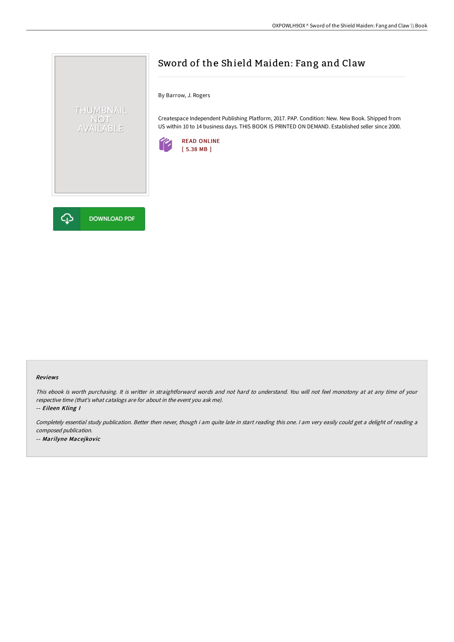

## Sword of the Shield Maiden: Fang and Claw

By Barrow, J. Rogers

Createspace Independent Publishing Platform, 2017. PAP. Condition: New. New Book. Shipped from US within 10 to 14 business days. THIS BOOK IS PRINTED ON DEMAND. Established seller since 2000.



## Reviews

This ebook is worth purchasing. It is writter in straightforward words and not hard to understand. You will not feel monotony at at any time of your respective time (that's what catalogs are for about in the event you ask me).

-- Eileen Kling I

Completely essential study publication. Better then never, though i am quite late in start reading this one. I am very easily could get a delight of reading a composed publication. -- Marilyne Macejkovic